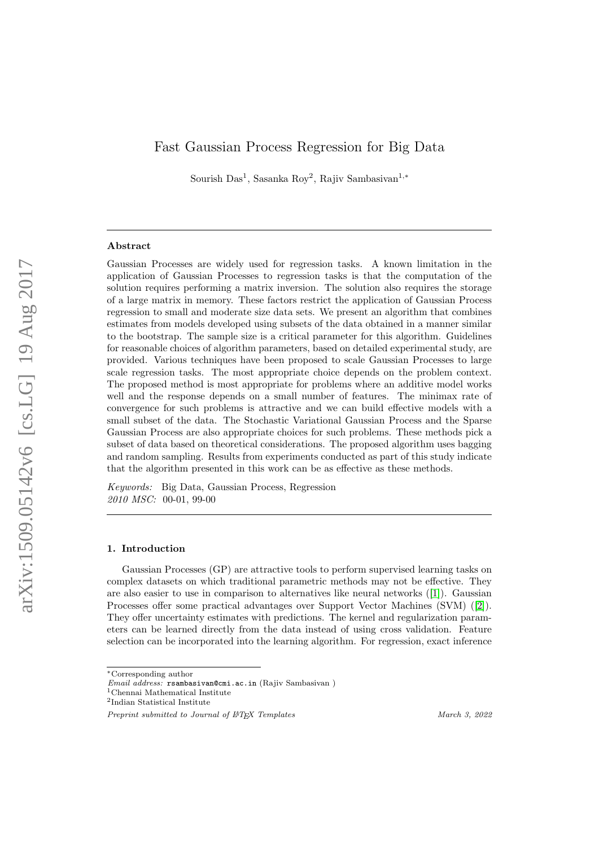# Fast Gaussian Process Regression for Big Data

Sourish Das<sup>1</sup>, Sasanka Roy<sup>2</sup>, Rajiv Sambasivan<sup>1,∗</sup>

# Abstract

Gaussian Processes are widely used for regression tasks. A known limitation in the application of Gaussian Processes to regression tasks is that the computation of the solution requires performing a matrix inversion. The solution also requires the storage of a large matrix in memory. These factors restrict the application of Gaussian Process regression to small and moderate size data sets. We present an algorithm that combines estimates from models developed using subsets of the data obtained in a manner similar to the bootstrap. The sample size is a critical parameter for this algorithm. Guidelines for reasonable choices of algorithm parameters, based on detailed experimental study, are provided. Various techniques have been proposed to scale Gaussian Processes to large scale regression tasks. The most appropriate choice depends on the problem context. The proposed method is most appropriate for problems where an additive model works well and the response depends on a small number of features. The minimax rate of convergence for such problems is attractive and we can build effective models with a small subset of the data. The Stochastic Variational Gaussian Process and the Sparse Gaussian Process are also appropriate choices for such problems. These methods pick a subset of data based on theoretical considerations. The proposed algorithm uses bagging and random sampling. Results from experiments conducted as part of this study indicate that the algorithm presented in this work can be as effective as these methods.

Keywords: Big Data, Gaussian Process, Regression 2010 MSC: 00-01, 99-00

# 1. Introduction

Gaussian Processes (GP) are attractive tools to perform supervised learning tasks on complex datasets on which traditional parametric methods may not be effective. They are also easier to use in comparison to alternatives like neural networks ([\[1\]](#page-21-0)). Gaussian Processes offer some practical advantages over Support Vector Machines (SVM) ([\[2\]](#page-21-1)). They offer uncertainty estimates with predictions. The kernel and regularization parameters can be learned directly from the data instead of using cross validation. Feature selection can be incorporated into the learning algorithm. For regression, exact inference

<sup>∗</sup>Corresponding author

Email address: rsambasivan@cmi.ac.in (Rajiv Sambasivan )

 $^1\rm Chennai$  Mathematical Institute

<sup>2</sup> Indian Statistical Institute

Preprint submitted to Journal of LATEX Templates March 3, 2022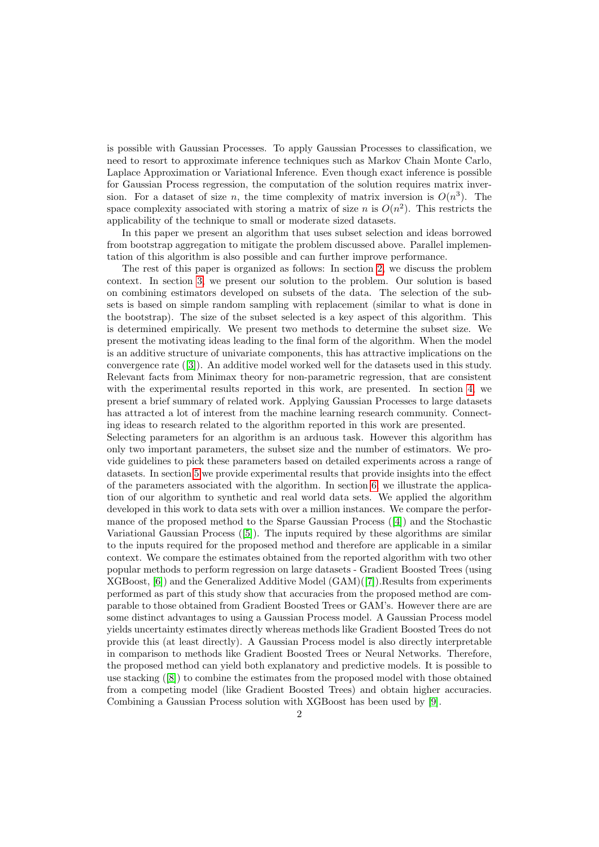is possible with Gaussian Processes. To apply Gaussian Processes to classification, we need to resort to approximate inference techniques such as Markov Chain Monte Carlo, Laplace Approximation or Variational Inference. Even though exact inference is possible for Gaussian Process regression, the computation of the solution requires matrix inversion. For a dataset of size n, the time complexity of matrix inversion is  $O(n^3)$ . The space complexity associated with storing a matrix of size n is  $O(n^2)$ . This restricts the applicability of the technique to small or moderate sized datasets.

In this paper we present an algorithm that uses subset selection and ideas borrowed from bootstrap aggregation to mitigate the problem discussed above. Parallel implementation of this algorithm is also possible and can further improve performance.

The rest of this paper is organized as follows: In section [2,](#page-2-0) we discuss the problem context. In section [3,](#page-3-0) we present our solution to the problem. Our solution is based on combining estimators developed on subsets of the data. The selection of the subsets is based on simple random sampling with replacement (similar to what is done in the bootstrap). The size of the subset selected is a key aspect of this algorithm. This is determined empirically. We present two methods to determine the subset size. We present the motivating ideas leading to the final form of the algorithm. When the model is an additive structure of univariate components, this has attractive implications on the convergence rate ([\[3\]](#page-21-2)). An additive model worked well for the datasets used in this study. Relevant facts from Minimax theory for non-parametric regression, that are consistent with the experimental results reported in this work, are presented. In section [4,](#page-8-0) we present a brief summary of related work. Applying Gaussian Processes to large datasets has attracted a lot of interest from the machine learning research community. Connecting ideas to research related to the algorithm reported in this work are presented.

Selecting parameters for an algorithm is an arduous task. However this algorithm has only two important parameters, the subset size and the number of estimators. We provide guidelines to pick these parameters based on detailed experiments across a range of datasets. In section [5](#page-10-0) we provide experimental results that provide insights into the effect of the parameters associated with the algorithm. In section [6,](#page-17-0) we illustrate the application of our algorithm to synthetic and real world data sets. We applied the algorithm developed in this work to data sets with over a million instances. We compare the performance of the proposed method to the Sparse Gaussian Process ([\[4\]](#page-22-0)) and the Stochastic Variational Gaussian Process ([\[5\]](#page-22-1)). The inputs required by these algorithms are similar to the inputs required for the proposed method and therefore are applicable in a similar context. We compare the estimates obtained from the reported algorithm with two other popular methods to perform regression on large datasets - Gradient Boosted Trees (using XGBoost, [\[6\]](#page-22-2)) and the Generalized Additive Model (GAM)([\[7\]](#page-22-3)).Results from experiments performed as part of this study show that accuracies from the proposed method are comparable to those obtained from Gradient Boosted Trees or GAM's. However there are are some distinct advantages to using a Gaussian Process model. A Gaussian Process model yields uncertainty estimates directly whereas methods like Gradient Boosted Trees do not provide this (at least directly). A Gaussian Process model is also directly interpretable in comparison to methods like Gradient Boosted Trees or Neural Networks. Therefore, the proposed method can yield both explanatory and predictive models. It is possible to use stacking ([\[8\]](#page-22-4)) to combine the estimates from the proposed model with those obtained from a competing model (like Gradient Boosted Trees) and obtain higher accuracies. Combining a Gaussian Process solution with XGBoost has been used by [\[9\]](#page-22-5).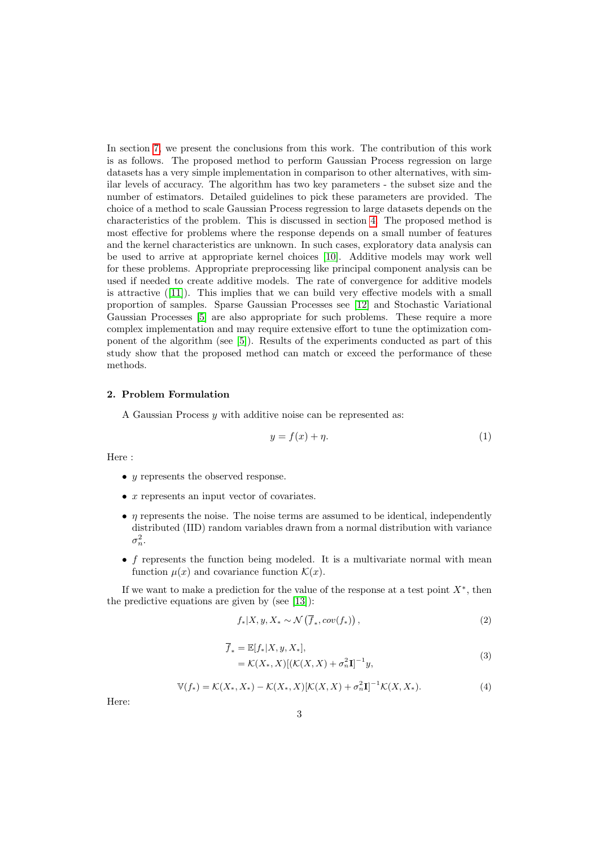In section [7,](#page-21-3) we present the conclusions from this work. The contribution of this work is as follows. The proposed method to perform Gaussian Process regression on large datasets has a very simple implementation in comparison to other alternatives, with similar levels of accuracy. The algorithm has two key parameters - the subset size and the number of estimators. Detailed guidelines to pick these parameters are provided. The choice of a method to scale Gaussian Process regression to large datasets depends on the characteristics of the problem. This is discussed in section [4.](#page-8-0) The proposed method is most effective for problems where the response depends on a small number of features and the kernel characteristics are unknown. In such cases, exploratory data analysis can be used to arrive at appropriate kernel choices [\[10\]](#page-22-6). Additive models may work well for these problems. Appropriate preprocessing like principal component analysis can be used if needed to create additive models. The rate of convergence for additive models is attractive  $([11])$  $([11])$  $([11])$ . This implies that we can build very effective models with a small proportion of samples. Sparse Gaussian Processes see [\[12\]](#page-22-8) and Stochastic Variational Gaussian Processes [\[5\]](#page-22-1) are also appropriate for such problems. These require a more complex implementation and may require extensive effort to tune the optimization component of the algorithm (see [\[5\]](#page-22-1)). Results of the experiments conducted as part of this study show that the proposed method can match or exceed the performance of these methods.

# <span id="page-2-0"></span>2. Problem Formulation

A Gaussian Process y with additive noise can be represented as:

<span id="page-2-3"></span>
$$
y = f(x) + \eta. \tag{1}
$$

Here :

- y represents the observed response.
- x represents an input vector of covariates.
- $\bullet$  *η* represents the noise. The noise terms are assumed to be identical, independently distributed (IID) random variables drawn from a normal distribution with variance  $\sigma_n^2$ .
- $\bullet$  f represents the function being modeled. It is a multivariate normal with mean function  $\mu(x)$  and covariance function  $\mathcal{K}(x)$ .

If we want to make a prediction for the value of the response at a test point  $X^*$ , then the predictive equations are given by (see [\[13\]](#page-22-9)):

<span id="page-2-1"></span>
$$
f_*|X, y, X_* \sim \mathcal{N}\left(\overline{f}_*, cov(f_*)\right),\tag{2}
$$

$$
\overline{f}_* = \mathbb{E}[f_*|X, y, X_*],
$$
  
=  $\mathcal{K}(X_*, X)[(\mathcal{K}(X, X) + \sigma_n^2 \mathbf{I}]^{-1}y,$  (3)

$$
\mathbb{V}(f_*) = \mathcal{K}(X_*, X_*) - \mathcal{K}(X_*, X)[\mathcal{K}(X, X) + \sigma_n^2 \mathbf{I}]^{-1} \mathcal{K}(X, X_*). \tag{4}
$$

<span id="page-2-2"></span>Here: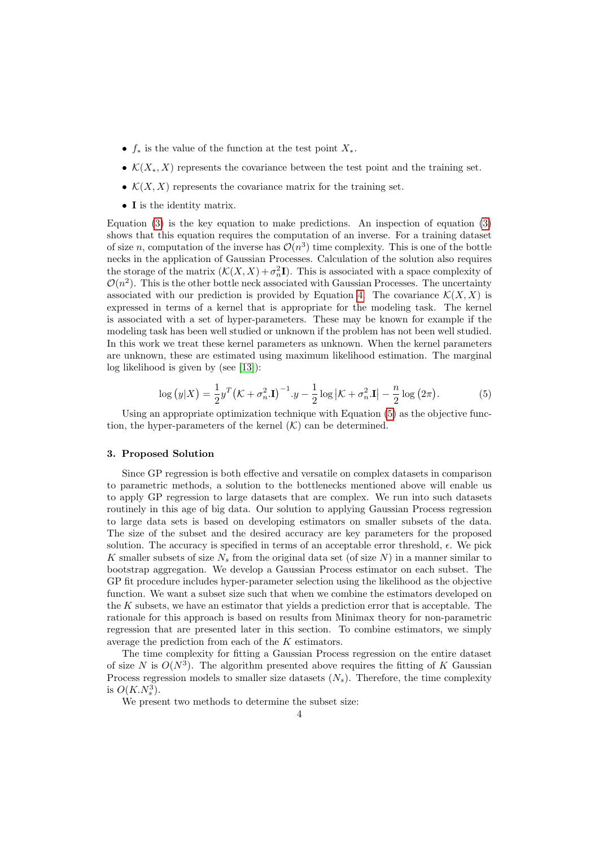- $f_*$  is the value of the function at the test point  $X_*$ .
- $\mathcal{K}(X_*, X)$  represents the covariance between the test point and the training set.
- $\mathcal{K}(X, X)$  represents the covariance matrix for the training set.
- I is the identity matrix.

Equation  $(3)$  is the key equation to make predictions. An inspection of equation  $(3)$ shows that this equation requires the computation of an inverse. For a training dataset of size n, computation of the inverse has  $\mathcal{O}(n^3)$  time complexity. This is one of the bottle necks in the application of Gaussian Processes. Calculation of the solution also requires the storage of the matrix  $(\mathcal{K}(X, X) + \sigma_n^2 \mathbf{I})$ . This is associated with a space complexity of  $\mathcal{O}(n^2)$ . This is the other bottle neck associated with Gaussian Processes. The uncertainty associated with our prediction is provided by Equation [4.](#page-2-2) The covariance  $\mathcal{K}(X, X)$  is expressed in terms of a kernel that is appropriate for the modeling task. The kernel is associated with a set of hyper-parameters. These may be known for example if the modeling task has been well studied or unknown if the problem has not been well studied. In this work we treat these kernel parameters as unknown. When the kernel parameters are unknown, these are estimated using maximum likelihood estimation. The marginal log likelihood is given by (see [\[13\]](#page-22-9)):

$$
\log\left(y|X\right) = \frac{1}{2}y^T\left(\mathcal{K} + \sigma_n^2.\mathbf{I}\right)^{-1}.y - \frac{1}{2}\log|\mathcal{K} + \sigma_n^2.\mathbf{I}| - \frac{n}{2}\log\left(2\pi\right). \tag{5}
$$

<span id="page-3-1"></span>Using an appropriate optimization technique with Equation  $(5)$  as the objective function, the hyper-parameters of the kernel  $(K)$  can be determined.

#### <span id="page-3-0"></span>3. Proposed Solution

Since GP regression is both effective and versatile on complex datasets in comparison to parametric methods, a solution to the bottlenecks mentioned above will enable us to apply GP regression to large datasets that are complex. We run into such datasets routinely in this age of big data. Our solution to applying Gaussian Process regression to large data sets is based on developing estimators on smaller subsets of the data. The size of the subset and the desired accuracy are key parameters for the proposed solution. The accuracy is specified in terms of an acceptable error threshold,  $\epsilon$ . We pick K smaller subsets of size  $N_s$  from the original data set (of size N) in a manner similar to bootstrap aggregation. We develop a Gaussian Process estimator on each subset. The GP fit procedure includes hyper-parameter selection using the likelihood as the objective function. We want a subset size such that when we combine the estimators developed on the  $K$  subsets, we have an estimator that yields a prediction error that is acceptable. The rationale for this approach is based on results from Minimax theory for non-parametric regression that are presented later in this section. To combine estimators, we simply average the prediction from each of the K estimators.

The time complexity for fitting a Gaussian Process regression on the entire dataset of size N is  $O(N^3)$ . The algorithm presented above requires the fitting of K Gaussian Process regression models to smaller size datasets  $(N<sub>s</sub>)$ . Therefore, the time complexity is  $O(K.N_s^3)$ .

We present two methods to determine the subset size: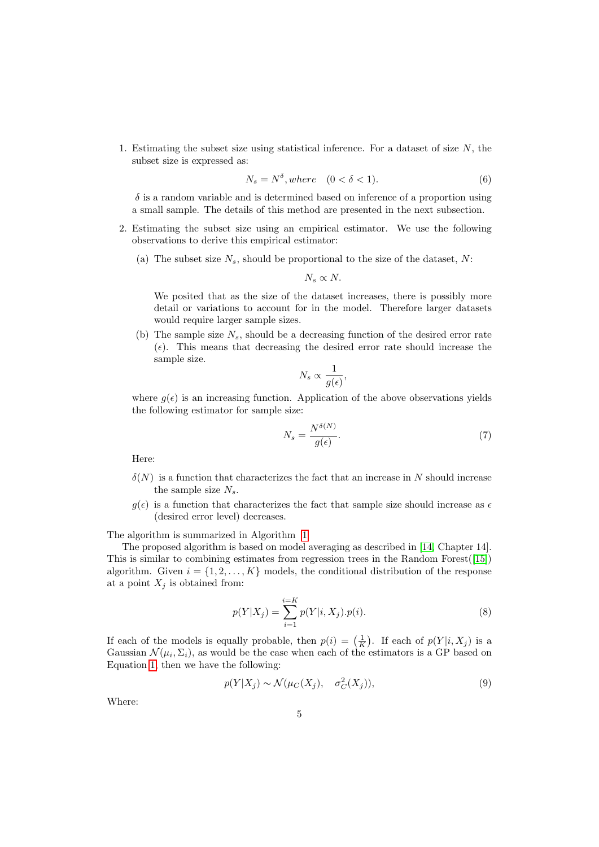1. Estimating the subset size using statistical inference. For a dataset of size  $N$ , the subset size is expressed as:

$$
N_s = N^\delta, where \quad (0 < \delta < 1). \tag{6}
$$

 $\delta$  is a random variable and is determined based on inference of a proportion using a small sample. The details of this method are presented in the next subsection.

- 2. Estimating the subset size using an empirical estimator. We use the following observations to derive this empirical estimator:
	- (a) The subset size  $N_s$ , should be proportional to the size of the dataset, N:

 $N_s \propto N$ .

We posited that as the size of the dataset increases, there is possibly more detail or variations to account for in the model. Therefore larger datasets would require larger sample sizes.

(b) The sample size  $N_s$ , should be a decreasing function of the desired error rate  $(\epsilon)$ . This means that decreasing the desired error rate should increase the sample size.

$$
N_s \propto \frac{1}{g(\epsilon)},
$$

where  $g(\epsilon)$  is an increasing function. Application of the above observations yields the following estimator for sample size:

<span id="page-4-1"></span>
$$
N_s = \frac{N^{\delta(N)}}{g(\epsilon)}.\tag{7}
$$

Here:

- $\delta(N)$  is a function that characterizes the fact that an increase in N should increase the sample size  $N_s$ .
- $g(\epsilon)$  is a function that characterizes the fact that sample size should increase as  $\epsilon$ (desired error level) decreases.

The algorithm is summarized in Algorithm [1](#page-5-0)

The proposed algorithm is based on model averaging as described in [\[14,](#page-22-10) Chapter 14]. This is similar to combining estimates from regression trees in the Random Forest([\[15\]](#page-22-11)) algorithm. Given  $i = \{1, 2, ..., K\}$  models, the conditional distribution of the response at a point  $X_j$  is obtained from:

$$
p(Y|X_j) = \sum_{i=1}^{i=K} p(Y|i, X_j) \cdot p(i).
$$
 (8)

If each of the models is equally probable, then  $p(i) = \left(\frac{1}{K}\right)$ . If each of  $p(Y|i, X_j)$  is a Gaussian  $\mathcal{N}(\mu_i, \Sigma_i)$ , as would be the case when each of the estimators is a GP based on Equation [1,](#page-2-3) then we have the following:

<span id="page-4-0"></span>
$$
p(Y|X_j) \sim \mathcal{N}(\mu_C(X_j), \quad \sigma_C^2(X_j)),\tag{9}
$$

Where: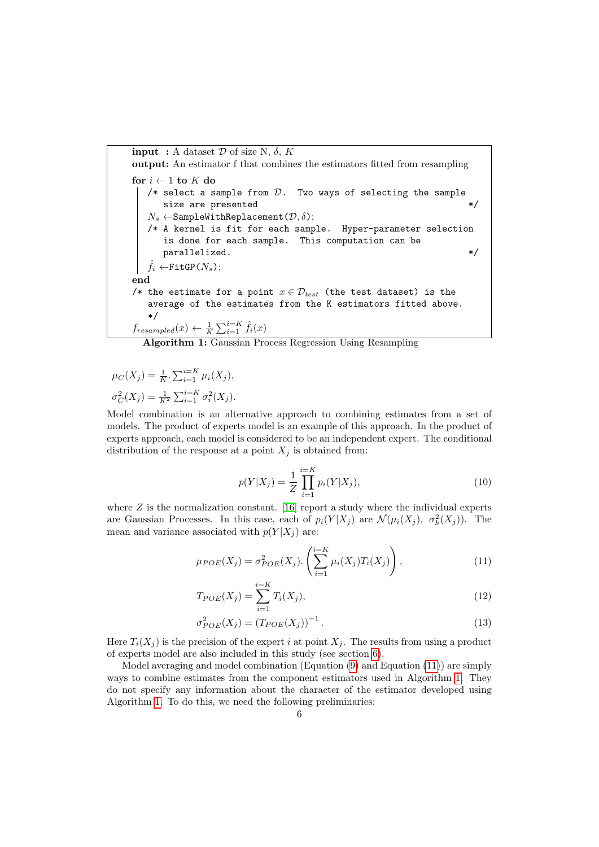**input** : A dataset  $\mathcal{D}$  of size N,  $\delta$ , K output: An estimator f that combines the estimators fitted from resampling for  $i \leftarrow 1$  to K do /\* select a sample from  $D$ . Two ways of selecting the sample size are presented  $*/$  $N_s \leftarrow$ SampleWithReplacement $(\mathcal{D}, \delta)$ ; /\* A kernel is fit for each sample. Hyper-parameter selection is done for each sample. This computation can be parallelized.  $*/$  $\hat{f}_i \leftarrow$ FitGP( $N_s$ ); end /\* the estimate for a point  $x \in \mathcal{D}_{test}$  (the test dataset) is the average of the estimates from the K estimators fitted above. \*/  $f_{resampled}(x) \leftarrow \frac{1}{K} \sum_{i=1}^{i=K} \hat{f}_i(x)$ 

<span id="page-5-0"></span>

$$
\mu_C(X_j) = \frac{1}{K} \sum_{i=1}^{i=K} \mu_i(X_j),
$$
  

$$
\sigma_C^2(X_j) = \frac{1}{K^2} \sum_{i=1}^{i=K} \sigma_i^2(X_j).
$$

Model combination is an alternative approach to combining estimates from a set of models. The product of experts model is an example of this approach. In the product of experts approach, each model is considered to be an independent expert. The conditional distribution of the response at a point  $X_j$  is obtained from:

<span id="page-5-1"></span>
$$
p(Y|X_j) = \frac{1}{Z} \prod_{i=1}^{i=K} p_i(Y|X_j),
$$
\n(10)

where  $Z$  is the normalization constant. [\[16\]](#page-22-12) report a study where the individual experts are Gaussian Processes. In this case, each of  $p_i(Y|X_j)$  are  $\mathcal{N}(\mu_i(X_j), \sigma_h^2(X_j))$ . The mean and variance associated with  $p(Y|X_i)$  are:

$$
\mu_{POE}(X_j) = \sigma_{POE}^2(X_j) \cdot \left( \sum_{i=1}^{i=K} \mu_i(X_j) T_i(X_j) \right), \tag{11}
$$

$$
T_{POE}(X_j) = \sum_{i=1}^{i=K} T_i(X_j),
$$
\n(12)

$$
\sigma_{POE}^2(X_j) = (T_{POE}(X_j))^{-1}.
$$
\n(13)

Here  $T_i(X_j)$  is the precision of the expert i at point  $X_j$ . The results from using a product of experts model are also included in this study (see section [6\)](#page-17-0).

Model averaging and model combination (Equation [\(9\)](#page-4-0) and Equation [\(11\)](#page-5-1)) are simply ways to combine estimates from the component estimators used in Algorithm [1.](#page-5-0) They do not specify any information about the character of the estimator developed using Algorithm [1.](#page-5-0) To do this, we need the following preliminaries: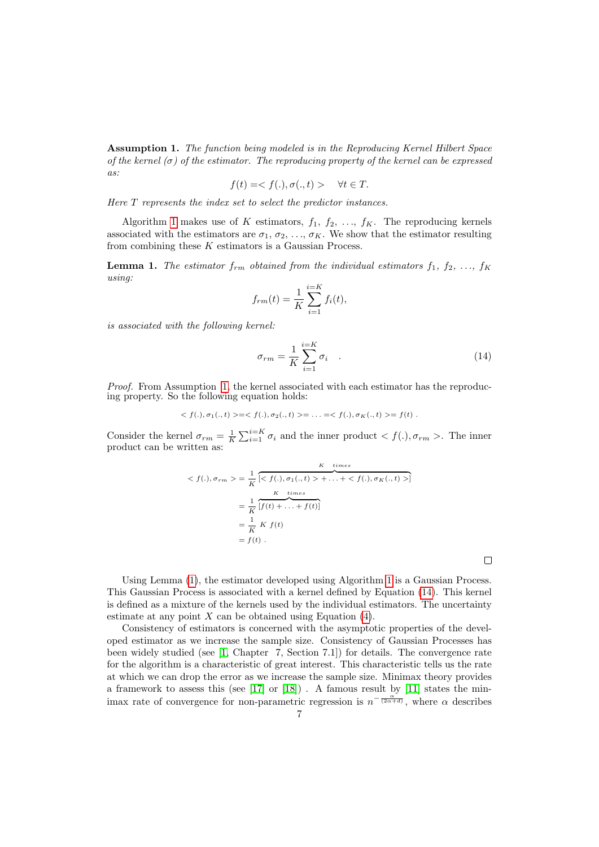<span id="page-6-0"></span>Assumption 1. The function being modeled is in the Reproducing Kernel Hilbert Space of the kernel  $(\sigma)$  of the estimator. The reproducing property of the kernel can be expressed as:

$$
f(t) = \langle f(.), \sigma(.,t) \rangle \quad \forall t \in T.
$$

Here T represents the index set to select the predictor instances.

Algorithm [1](#page-5-0) makes use of K estimators,  $f_1, f_2, \ldots, f_K$ . The reproducing kernels associated with the estimators are  $\sigma_1, \sigma_2, \ldots, \sigma_K$ . We show that the estimator resulting from combining these  $K$  estimators is a Gaussian Process.

<span id="page-6-1"></span>**Lemma 1.** The estimator  $f_{rm}$  obtained from the individual estimators  $f_1, f_2, \ldots, f_K$ using:

$$
f_{rm}(t) = \frac{1}{K} \sum_{i=1}^{i=K} f_i(t),
$$

is associated with the following kernel:

<span id="page-6-2"></span>
$$
\sigma_{rm} = \frac{1}{K} \sum_{i=1}^{i=K} \sigma_i \quad . \tag{14}
$$

Proof. From Assumption [1,](#page-6-0) the kernel associated with each estimator has the reproducing property. So the following equation holds:

$$
\langle f(.) , \sigma_1(.,t) \rangle = \langle f(.) , \sigma_2(.,t) \rangle = \ldots = \langle f(.) , \sigma_K(.,t) \rangle = f(t) .
$$

Consider the kernel  $\sigma_{rm} = \frac{1}{K} \sum_{i=1}^{i=K} \sigma_i$  and the inner product  $\langle f(.)$ ,  $\sigma_{rm} >$ . The inner product can be written as:

$$
\langle f(.), \sigma_{rm} \rangle = \frac{1}{K} \overbrace{\left[ \langle f(.), \sigma_1(.,t) \rangle + \ldots + \langle f(.), \sigma_K(.,t) \rangle \right]}^{K \times times}
$$

$$
= \frac{1}{K} \overbrace{\left[ f(t) + \ldots + f(t) \right]}^{K \times times}
$$

$$
= \frac{1}{K} \overbrace{\left[ f(t) + \ldots + f(t) \right]}^{K \times times}
$$

$$
= \frac{1}{K} K f(t)
$$

$$
= f(t) .
$$

 $\Box$ 

Using Lemma [\(1\)](#page-6-1), the estimator developed using Algorithm [1](#page-5-0) is a Gaussian Process. This Gaussian Process is associated with a kernel defined by Equation [\(14\)](#page-6-2). This kernel is defined as a mixture of the kernels used by the individual estimators. The uncertainty estimate at any point  $X$  can be obtained using Equation  $(4)$ .

Consistency of estimators is concerned with the asymptotic properties of the developed estimator as we increase the sample size. Consistency of Gaussian Processes has been widely studied (see [\[1,](#page-21-0) Chapter 7, Section 7.1]) for details. The convergence rate for the algorithm is a characteristic of great interest. This characteristic tells us the rate at which we can drop the error as we increase the sample size. Minimax theory provides a framework to assess this (see  $[17]$  or  $[18]$ ). A famous result by  $[11]$  states the minimax rate of convergence for non-parametric regression is  $n^{-\frac{\alpha^{2}}{(2\alpha+d)}}$ , where  $\alpha$  describes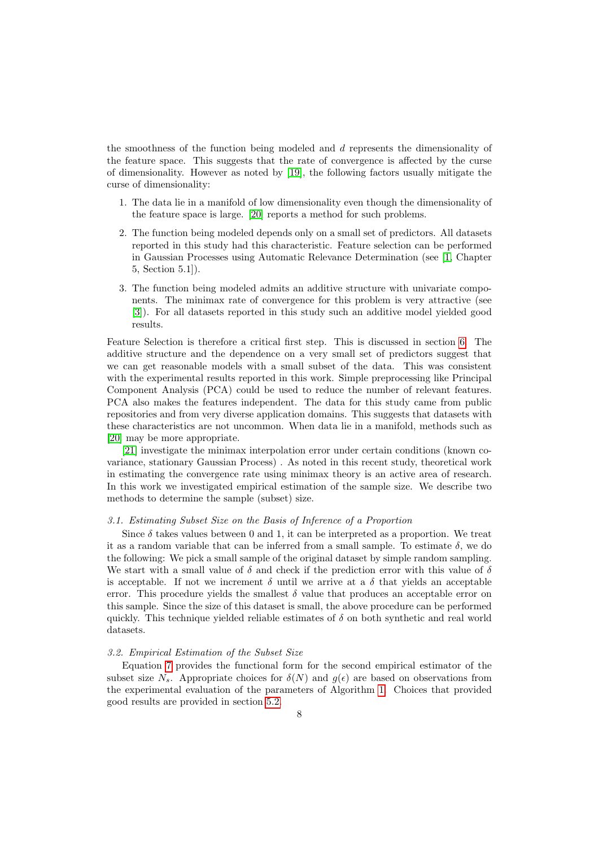the smoothness of the function being modeled and d represents the dimensionality of the feature space. This suggests that the rate of convergence is affected by the curse of dimensionality. However as noted by [\[19\]](#page-22-15), the following factors usually mitigate the curse of dimensionality:

- 1. The data lie in a manifold of low dimensionality even though the dimensionality of the feature space is large. [\[20\]](#page-22-16) reports a method for such problems.
- 2. The function being modeled depends only on a small set of predictors. All datasets reported in this study had this characteristic. Feature selection can be performed in Gaussian Processes using Automatic Relevance Determination (see [\[1,](#page-21-0) Chapter 5, Section 5.1]).
- 3. The function being modeled admits an additive structure with univariate components. The minimax rate of convergence for this problem is very attractive (see [\[3\]](#page-21-2)). For all datasets reported in this study such an additive model yielded good results.

Feature Selection is therefore a critical first step. This is discussed in section [6.](#page-17-0) The additive structure and the dependence on a very small set of predictors suggest that we can get reasonable models with a small subset of the data. This was consistent with the experimental results reported in this work. Simple preprocessing like Principal Component Analysis (PCA) could be used to reduce the number of relevant features. PCA also makes the features independent. The data for this study came from public repositories and from very diverse application domains. This suggests that datasets with these characteristics are not uncommon. When data lie in a manifold, methods such as [\[20\]](#page-22-16) may be more appropriate.

[\[21\]](#page-22-17) investigate the minimax interpolation error under certain conditions (known covariance, stationary Gaussian Process) . As noted in this recent study, theoretical work in estimating the convergence rate using minimax theory is an active area of research. In this work we investigated empirical estimation of the sample size. We describe two methods to determine the sample (subset) size.

# <span id="page-7-0"></span>3.1. Estimating Subset Size on the Basis of Inference of a Proportion

Since  $\delta$  takes values between 0 and 1, it can be interpreted as a proportion. We treat it as a random variable that can be inferred from a small sample. To estimate  $\delta$ , we do the following: We pick a small sample of the original dataset by simple random sampling. We start with a small value of  $\delta$  and check if the prediction error with this value of  $\delta$ is acceptable. If not we increment  $\delta$  until we arrive at a  $\delta$  that yields an acceptable error. This procedure yields the smallest  $\delta$  value that produces an acceptable error on this sample. Since the size of this dataset is small, the above procedure can be performed quickly. This technique yielded reliable estimates of  $\delta$  on both synthetic and real world datasets.

#### <span id="page-7-1"></span>3.2. Empirical Estimation of the Subset Size

Equation [7](#page-4-1) provides the functional form for the second empirical estimator of the subset size  $N_s$ . Appropriate choices for  $\delta(N)$  and  $g(\epsilon)$  are based on observations from the experimental evaluation of the parameters of Algorithm [1.](#page-5-0) Choices that provided good results are provided in section [5.2.](#page-12-0)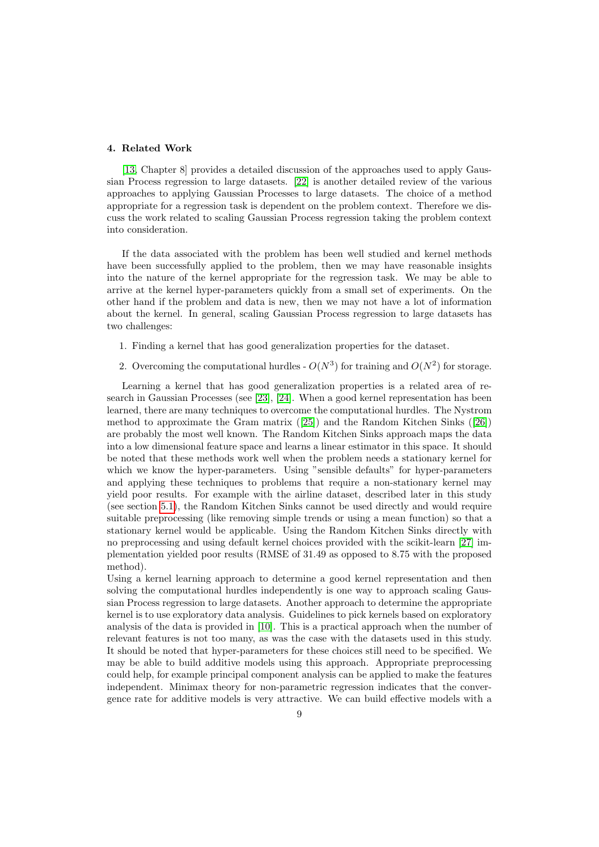## <span id="page-8-0"></span>4. Related Work

[\[13,](#page-22-9) Chapter 8] provides a detailed discussion of the approaches used to apply Gaussian Process regression to large datasets. [\[22\]](#page-22-18) is another detailed review of the various approaches to applying Gaussian Processes to large datasets. The choice of a method appropriate for a regression task is dependent on the problem context. Therefore we discuss the work related to scaling Gaussian Process regression taking the problem context into consideration.

If the data associated with the problem has been well studied and kernel methods have been successfully applied to the problem, then we may have reasonable insights into the nature of the kernel appropriate for the regression task. We may be able to arrive at the kernel hyper-parameters quickly from a small set of experiments. On the other hand if the problem and data is new, then we may not have a lot of information about the kernel. In general, scaling Gaussian Process regression to large datasets has two challenges:

- 1. Finding a kernel that has good generalization properties for the dataset.
- 2. Overcoming the computational hurdles  $O(N^3)$  for training and  $O(N^2)$  for storage.

Learning a kernel that has good generalization properties is a related area of research in Gaussian Processes (see [\[23\]](#page-22-19), [\[24\]](#page-22-20). When a good kernel representation has been learned, there are many techniques to overcome the computational hurdles. The Nystrom method to approximate the Gram matrix ([\[25\]](#page-22-21)) and the Random Kitchen Sinks ([\[26\]](#page-22-22)) are probably the most well known. The Random Kitchen Sinks approach maps the data into a low dimensional feature space and learns a linear estimator in this space. It should be noted that these methods work well when the problem needs a stationary kernel for which we know the hyper-parameters. Using "sensible defaults" for hyper-parameters and applying these techniques to problems that require a non-stationary kernel may yield poor results. For example with the airline dataset, described later in this study (see section [5.1\)](#page-11-0), the Random Kitchen Sinks cannot be used directly and would require suitable preprocessing (like removing simple trends or using a mean function) so that a stationary kernel would be applicable. Using the Random Kitchen Sinks directly with no preprocessing and using default kernel choices provided with the scikit-learn [\[27\]](#page-22-23) implementation yielded poor results (RMSE of 31.49 as opposed to 8.75 with the proposed method).

Using a kernel learning approach to determine a good kernel representation and then solving the computational hurdles independently is one way to approach scaling Gaussian Process regression to large datasets. Another approach to determine the appropriate kernel is to use exploratory data analysis. Guidelines to pick kernels based on exploratory analysis of the data is provided in [\[10\]](#page-22-6). This is a practical approach when the number of relevant features is not too many, as was the case with the datasets used in this study. It should be noted that hyper-parameters for these choices still need to be specified. We may be able to build additive models using this approach. Appropriate preprocessing could help, for example principal component analysis can be applied to make the features independent. Minimax theory for non-parametric regression indicates that the convergence rate for additive models is very attractive. We can build effective models with a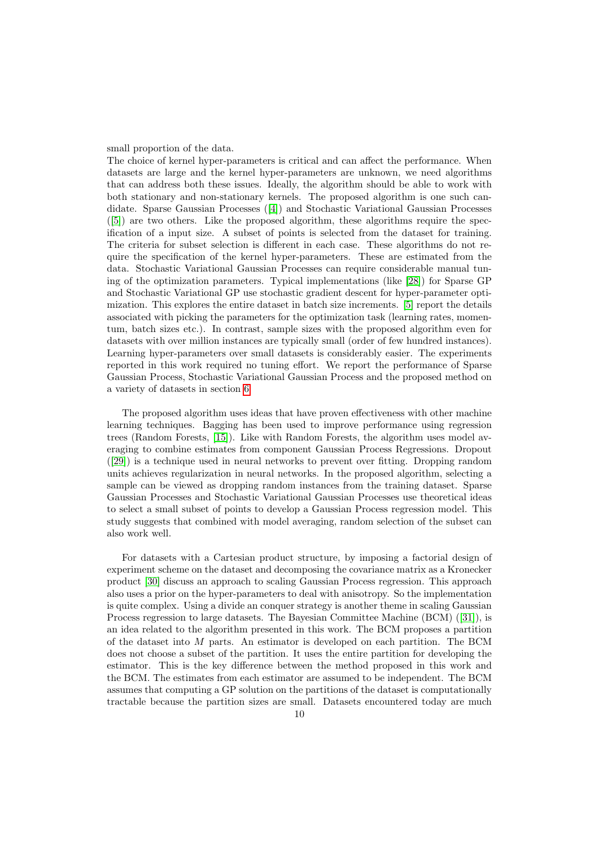small proportion of the data.

The choice of kernel hyper-parameters is critical and can affect the performance. When datasets are large and the kernel hyper-parameters are unknown, we need algorithms that can address both these issues. Ideally, the algorithm should be able to work with both stationary and non-stationary kernels. The proposed algorithm is one such candidate. Sparse Gaussian Processes ([\[4\]](#page-22-0)) and Stochastic Variational Gaussian Processes ([\[5\]](#page-22-1)) are two others. Like the proposed algorithm, these algorithms require the specification of a input size. A subset of points is selected from the dataset for training. The criteria for subset selection is different in each case. These algorithms do not require the specification of the kernel hyper-parameters. These are estimated from the data. Stochastic Variational Gaussian Processes can require considerable manual tuning of the optimization parameters. Typical implementations (like [\[28\]](#page-22-24)) for Sparse GP and Stochastic Variational GP use stochastic gradient descent for hyper-parameter optimization. This explores the entire dataset in batch size increments. [\[5\]](#page-22-1) report the details associated with picking the parameters for the optimization task (learning rates, momentum, batch sizes etc.). In contrast, sample sizes with the proposed algorithm even for datasets with over million instances are typically small (order of few hundred instances). Learning hyper-parameters over small datasets is considerably easier. The experiments reported in this work required no tuning effort. We report the performance of Sparse Gaussian Process, Stochastic Variational Gaussian Process and the proposed method on a variety of datasets in section [6](#page-17-0)

The proposed algorithm uses ideas that have proven effectiveness with other machine learning techniques. Bagging has been used to improve performance using regression trees (Random Forests, [\[15\]](#page-22-11)). Like with Random Forests, the algorithm uses model averaging to combine estimates from component Gaussian Process Regressions. Dropout ([\[29\]](#page-22-25)) is a technique used in neural networks to prevent over fitting. Dropping random units achieves regularization in neural networks. In the proposed algorithm, selecting a sample can be viewed as dropping random instances from the training dataset. Sparse Gaussian Processes and Stochastic Variational Gaussian Processes use theoretical ideas to select a small subset of points to develop a Gaussian Process regression model. This study suggests that combined with model averaging, random selection of the subset can also work well.

For datasets with a Cartesian product structure, by imposing a factorial design of experiment scheme on the dataset and decomposing the covariance matrix as a Kronecker product [\[30\]](#page-22-26) discuss an approach to scaling Gaussian Process regression. This approach also uses a prior on the hyper-parameters to deal with anisotropy. So the implementation is quite complex. Using a divide an conquer strategy is another theme in scaling Gaussian Process regression to large datasets. The Bayesian Committee Machine (BCM) ([\[31\]](#page-22-27)), is an idea related to the algorithm presented in this work. The BCM proposes a partition of the dataset into M parts. An estimator is developed on each partition. The BCM does not choose a subset of the partition. It uses the entire partition for developing the estimator. This is the key difference between the method proposed in this work and the BCM. The estimates from each estimator are assumed to be independent. The BCM assumes that computing a GP solution on the partitions of the dataset is computationally tractable because the partition sizes are small. Datasets encountered today are much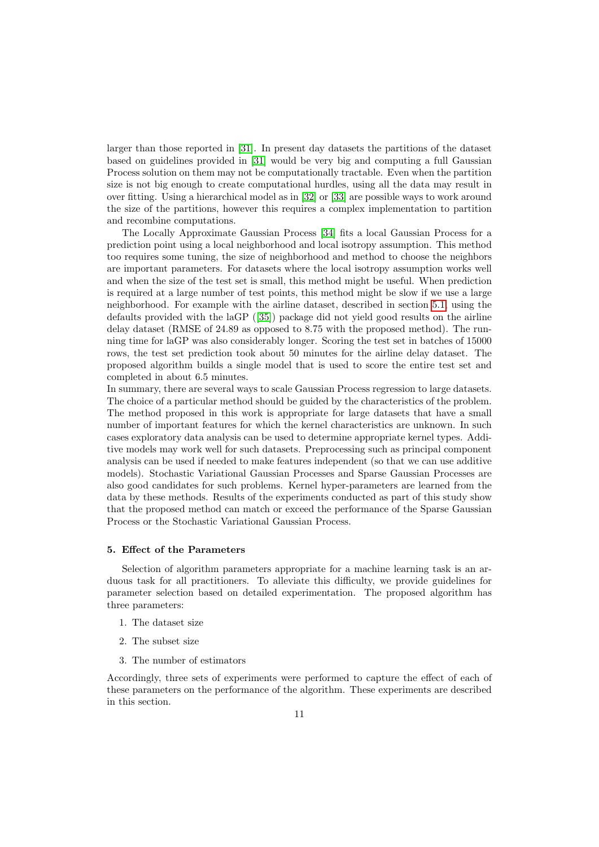larger than those reported in [\[31\]](#page-22-27). In present day datasets the partitions of the dataset based on guidelines provided in [\[31\]](#page-22-27) would be very big and computing a full Gaussian Process solution on them may not be computationally tractable. Even when the partition size is not big enough to create computational hurdles, using all the data may result in over fitting. Using a hierarchical model as in [\[32\]](#page-22-28) or [\[33\]](#page-22-29) are possible ways to work around the size of the partitions, however this requires a complex implementation to partition and recombine computations.

The Locally Approximate Gaussian Process [\[34\]](#page-22-30) fits a local Gaussian Process for a prediction point using a local neighborhood and local isotropy assumption. This method too requires some tuning, the size of neighborhood and method to choose the neighbors are important parameters. For datasets where the local isotropy assumption works well and when the size of the test set is small, this method might be useful. When prediction is required at a large number of test points, this method might be slow if we use a large neighborhood. For example with the airline dataset, described in section [5.1,](#page-11-0) using the defaults provided with the laGP ([\[35\]](#page-23-0)) package did not yield good results on the airline delay dataset (RMSE of 24.89 as opposed to 8.75 with the proposed method). The running time for laGP was also considerably longer. Scoring the test set in batches of 15000 rows, the test set prediction took about 50 minutes for the airline delay dataset. The proposed algorithm builds a single model that is used to score the entire test set and completed in about 6.5 minutes.

In summary, there are several ways to scale Gaussian Process regression to large datasets. The choice of a particular method should be guided by the characteristics of the problem. The method proposed in this work is appropriate for large datasets that have a small number of important features for which the kernel characteristics are unknown. In such cases exploratory data analysis can be used to determine appropriate kernel types. Additive models may work well for such datasets. Preprocessing such as principal component analysis can be used if needed to make features independent (so that we can use additive models). Stochastic Variational Gaussian Processes and Sparse Gaussian Processes are also good candidates for such problems. Kernel hyper-parameters are learned from the data by these methods. Results of the experiments conducted as part of this study show that the proposed method can match or exceed the performance of the Sparse Gaussian Process or the Stochastic Variational Gaussian Process.

#### <span id="page-10-0"></span>5. Effect of the Parameters

Selection of algorithm parameters appropriate for a machine learning task is an arduous task for all practitioners. To alleviate this difficulty, we provide guidelines for parameter selection based on detailed experimentation. The proposed algorithm has three parameters:

- 1. The dataset size
- 2. The subset size
- 3. The number of estimators

Accordingly, three sets of experiments were performed to capture the effect of each of these parameters on the performance of the algorithm. These experiments are described in this section.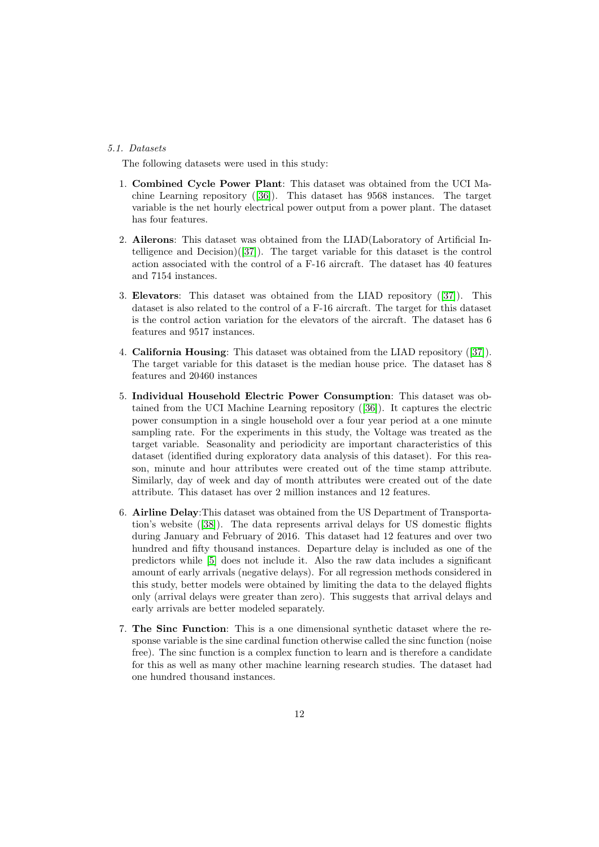# <span id="page-11-0"></span>5.1. Datasets

The following datasets were used in this study:

- 1. Combined Cycle Power Plant: This dataset was obtained from the UCI Machine Learning repository ([\[36\]](#page-23-1)). This dataset has 9568 instances. The target variable is the net hourly electrical power output from a power plant. The dataset has four features.
- 2. Ailerons: This dataset was obtained from the LIAD(Laboratory of Artificial Intelligence and Decision)([\[37\]](#page-23-2)). The target variable for this dataset is the control action associated with the control of a F-16 aircraft. The dataset has 40 features and 7154 instances.
- 3. Elevators: This dataset was obtained from the LIAD repository ([\[37\]](#page-23-2)). This dataset is also related to the control of a F-16 aircraft. The target for this dataset is the control action variation for the elevators of the aircraft. The dataset has 6 features and 9517 instances.
- 4. California Housing: This dataset was obtained from the LIAD repository ([\[37\]](#page-23-2)). The target variable for this dataset is the median house price. The dataset has 8 features and 20460 instances
- 5. Individual Household Electric Power Consumption: This dataset was obtained from the UCI Machine Learning repository ([\[36\]](#page-23-1)). It captures the electric power consumption in a single household over a four year period at a one minute sampling rate. For the experiments in this study, the Voltage was treated as the target variable. Seasonality and periodicity are important characteristics of this dataset (identified during exploratory data analysis of this dataset). For this reason, minute and hour attributes were created out of the time stamp attribute. Similarly, day of week and day of month attributes were created out of the date attribute. This dataset has over 2 million instances and 12 features.
- 6. Airline Delay:This dataset was obtained from the US Department of Transportation's website ([\[38\]](#page-23-3)). The data represents arrival delays for US domestic flights during January and February of 2016. This dataset had 12 features and over two hundred and fifty thousand instances. Departure delay is included as one of the predictors while [\[5\]](#page-22-1) does not include it. Also the raw data includes a significant amount of early arrivals (negative delays). For all regression methods considered in this study, better models were obtained by limiting the data to the delayed flights only (arrival delays were greater than zero). This suggests that arrival delays and early arrivals are better modeled separately.
- 7. The Sinc Function: This is a one dimensional synthetic dataset where the response variable is the sine cardinal function otherwise called the sinc function (noise free). The sinc function is a complex function to learn and is therefore a candidate for this as well as many other machine learning research studies. The dataset had one hundred thousand instances.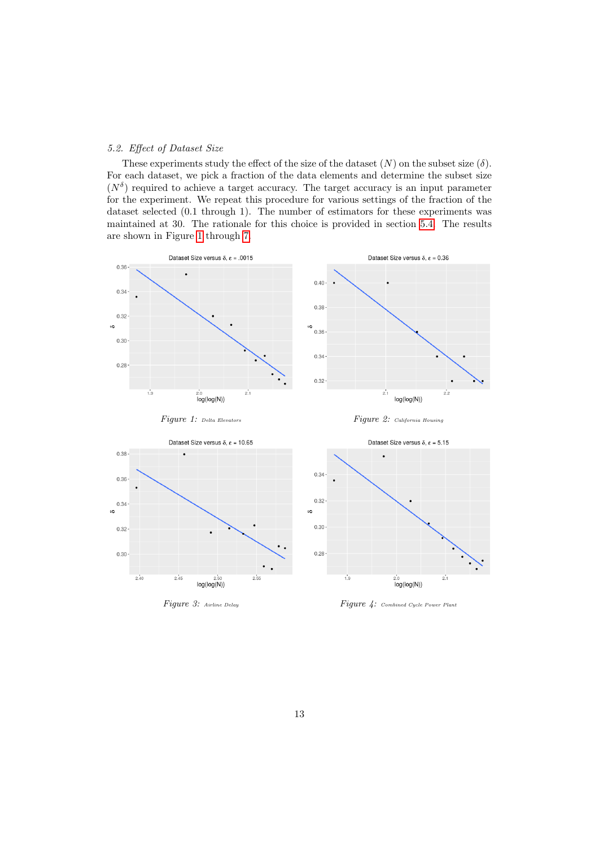# <span id="page-12-0"></span>5.2. Effect of Dataset Size

These experiments study the effect of the size of the dataset  $(N)$  on the subset size  $(\delta)$ . For each dataset, we pick a fraction of the data elements and determine the subset size  $(N^{\delta})$  required to achieve a target accuracy. The target accuracy is an input parameter for the experiment. We repeat this procedure for various settings of the fraction of the dataset selected (0.1 through 1). The number of estimators for these experiments was maintained at 30. The rationale for this choice is provided in section [5.4.](#page-15-0) The results are shown in Figure [1](#page-12-1) through [7.](#page-13-0)

<span id="page-12-1"></span>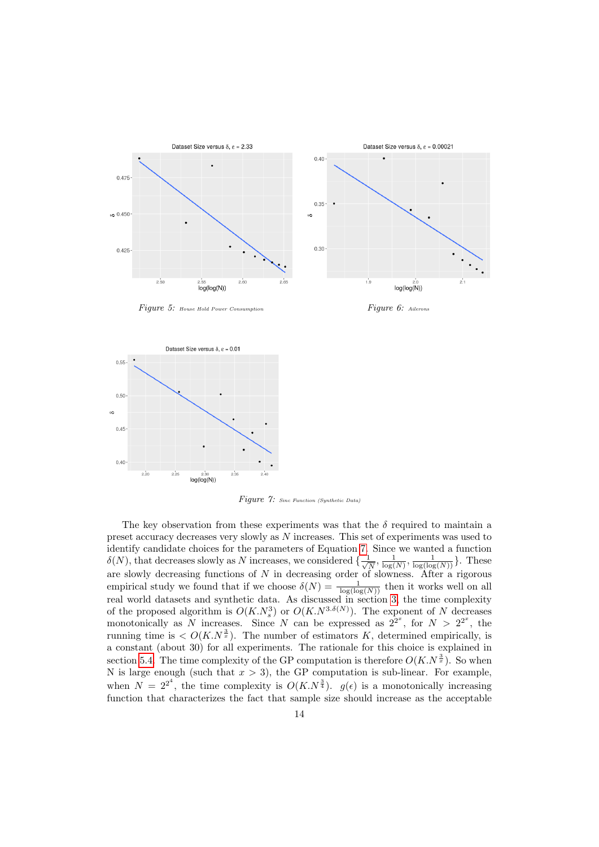

Figure 5: House Hold Power Consumption Figure 6: Ailerons

<span id="page-13-0"></span>

Figure 7: Sinc Function (Synthetic Data)

The key observation from these experiments was that the  $\delta$  required to maintain a preset accuracy decreases very slowly as N increases. This set of experiments was used to identify candidate choices for the parameters of Equation [7.](#page-4-1) Since we wanted a function  $\delta(N)$ , that decreases slowly as N increases, we considered  $\{\frac{1}{\sqrt{N}}\}$  $\frac{1}{N}, \frac{1}{\log(N)}, \frac{1}{\log(\log(N))}\}$ . These are slowly decreasing functions of  $N$  in decreasing order of slowness. After a rigorous empirical study we found that if we choose  $\delta(N) = \frac{1}{\log(\log(N))}$  then it works well on all real world datasets and synthetic data. As discussed in section [3,](#page-3-0) the time complexity of the proposed algorithm is  $O(K.N_s^3)$  or  $O(K.N^{3,\delta(N)})$ . The exponent of N decreases monotonically as N increases. Since N can be expressed as  $2^{2^x}$ , for  $N > 2^{2^x}$ , the running time is  $\langle O(K.N^{\frac{3}{x}})$ . The number of estimators K, determined empirically, is a constant (about 30) for all experiments. The rationale for this choice is explained in section [5.4.](#page-15-0) The time complexity of the GP computation is therefore  $O(K.N^{\frac{3}{x}})$ . So when N is large enough (such that  $x > 3$ ), the GP computation is sub-linear. For example, when  $N = 2^{2^4}$ , the time complexity is  $O(K.N^{\frac{3}{4}})$ .  $g(\epsilon)$  is a monotonically increasing function that characterizes the fact that sample size should increase as the acceptable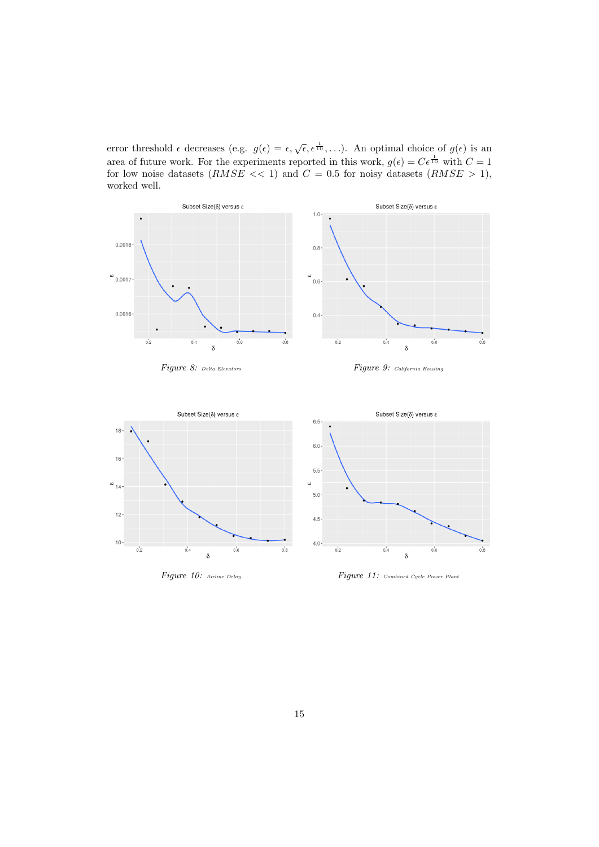error threshold  $\epsilon$  decreases (e.g.  $g(\epsilon) = \epsilon, \sqrt{\epsilon}, \epsilon^{\frac{1}{10}}, \ldots$ ). An optimal choice of  $g(\epsilon)$  is an area of future work. For the experiments reported in this work,  $g(\epsilon) = C \epsilon^{\frac{1}{10}}$  with  $C = 1$ for low noise datasets  $(RMSE \ll 1)$  and  $C = 0.5$  for noisy datasets  $(RMSE > 1)$ , worked well.

<span id="page-14-0"></span>





Figure 10: Airline Delay Figure 11: Combined Cycle Power Plant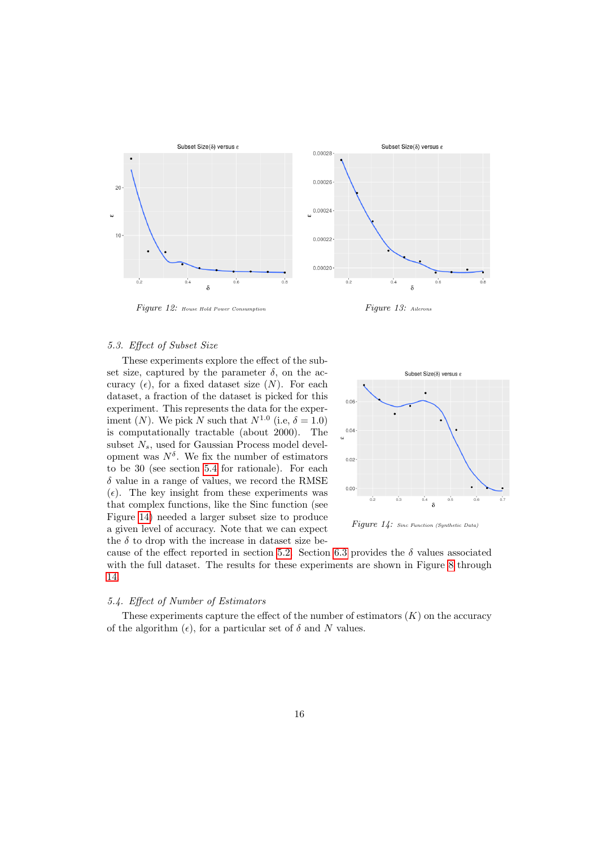

Figure 12: House Hold Power Consumption Figure 13: Ailerons



#### 5.3. Effect of Subset Size

These experiments explore the effect of the subset size, captured by the parameter  $\delta$ , on the accuracy ( $\epsilon$ ), for a fixed dataset size (N). For each dataset, a fraction of the dataset is picked for this experiment. This represents the data for the experiment (N). We pick N such that  $N^{1.0}$  (i.e,  $\delta = 1.0$ ) is computationally tractable (about 2000). The subset  $N_s$ , used for Gaussian Process model development was  $N^{\delta}$ . We fix the number of estimators to be 30 (see section [5.4](#page-15-0) for rationale). For each  $\delta$  value in a range of values, we record the RMSE  $(\epsilon)$ . The key insight from these experiments was that complex functions, like the Sinc function (see Figure [14\)](#page-15-1) needed a larger subset size to produce a given level of accuracy. Note that we can expect the  $\delta$  to drop with the increase in dataset size be-

<span id="page-15-1"></span>

Figure 14: Sinc Function (Synthetic Data)

cause of the effect reported in section [5.2.](#page-12-0) Section [6.3](#page-18-0) provides the  $\delta$  values associated with the full dataset. The results for these experiments are shown in Figure [8](#page-14-0) through [14.](#page-15-1)

#### <span id="page-15-0"></span>5.4. Effect of Number of Estimators

These experiments capture the effect of the number of estimators  $(K)$  on the accuracy of the algorithm  $(\epsilon)$ , for a particular set of  $\delta$  and N values.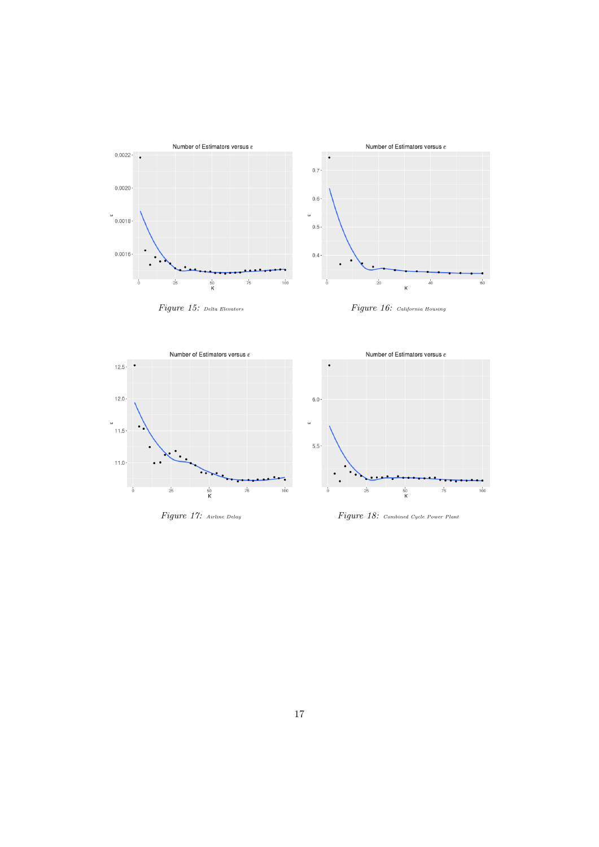<span id="page-16-0"></span>









Figure 17: Airline Delay Figure 18: Combined Cycle Power Plant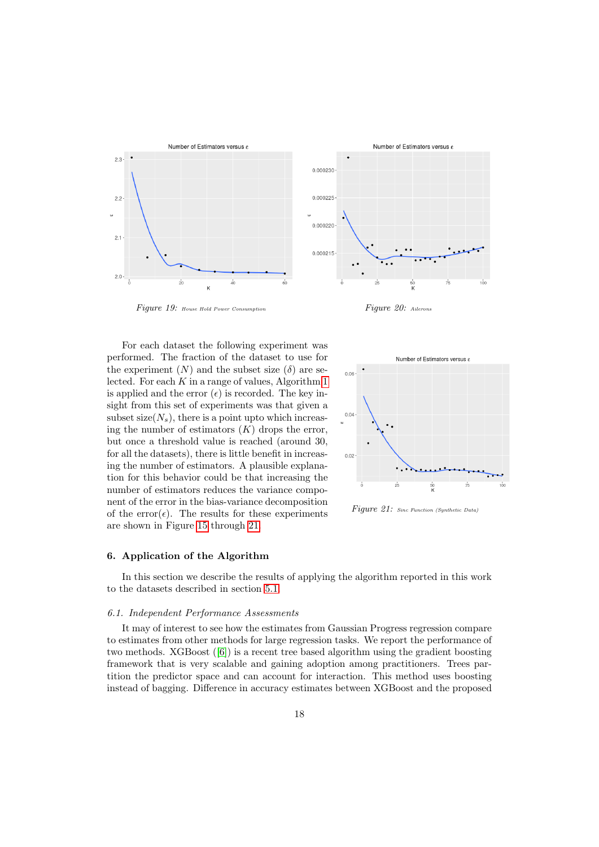

Figure 19: House Hold Power Consumption Figure 20: Ailerons



For each dataset the following experiment was performed. The fraction of the dataset to use for the experiment  $(N)$  and the subset size  $(\delta)$  are selected. For each  $K$  in a range of values, Algorithm [1](#page-5-0) is applied and the error  $(\epsilon)$  is recorded. The key insight from this set of experiments was that given a subset  $size(N_s)$ , there is a point upto which increasing the number of estimators  $(K)$  drops the error, but once a threshold value is reached (around 30, for all the datasets), there is little benefit in increasing the number of estimators. A plausible explanation for this behavior could be that increasing the number of estimators reduces the variance component of the error in the bias-variance decomposition of the error( $\epsilon$ ). The results for these experiments are shown in Figure [15](#page-16-0) through [21.](#page-17-1)

<span id="page-17-1"></span>

Figure 21: Sinc Function (Synthetic Data)

#### <span id="page-17-0"></span>6. Application of the Algorithm

In this section we describe the results of applying the algorithm reported in this work to the datasets described in section [5.1.](#page-11-0)

#### 6.1. Independent Performance Assessments

It may of interest to see how the estimates from Gaussian Progress regression compare to estimates from other methods for large regression tasks. We report the performance of two methods. XGBoost ([\[6\]](#page-22-2)) is a recent tree based algorithm using the gradient boosting framework that is very scalable and gaining adoption among practitioners. Trees partition the predictor space and can account for interaction. This method uses boosting instead of bagging. Difference in accuracy estimates between XGBoost and the proposed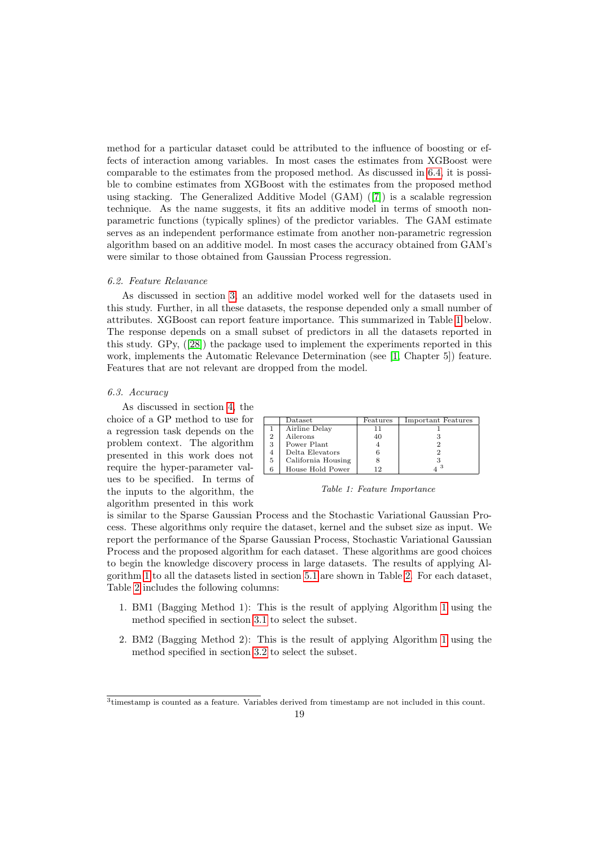method for a particular dataset could be attributed to the influence of boosting or effects of interaction among variables. In most cases the estimates from XGBoost were comparable to the estimates from the proposed method. As discussed in [6.4,](#page-20-0) it is possible to combine estimates from XGBoost with the estimates from the proposed method using stacking. The Generalized Additive Model (GAM) ([\[7\]](#page-22-3)) is a scalable regression technique. As the name suggests, it fits an additive model in terms of smooth nonparametric functions (typically splines) of the predictor variables. The GAM estimate serves as an independent performance estimate from another non-parametric regression algorithm based on an additive model. In most cases the accuracy obtained from GAM's were similar to those obtained from Gaussian Process regression.

#### 6.2. Feature Relavance

As discussed in section [3,](#page-3-0) an additive model worked well for the datasets used in this study. Further, in all these datasets, the response depended only a small number of attributes. XGBoost can report feature importance. This summarized in Table [1](#page-18-1) below. The response depends on a small subset of predictors in all the datasets reported in this study. GPy, ([\[28\]](#page-22-24)) the package used to implement the experiments reported in this work, implements the Automatic Relevance Determination (see [\[1,](#page-21-0) Chapter 5]) feature. Features that are not relevant are dropped from the model.

# <span id="page-18-0"></span>6.3. Accuracy

As discussed in section [4,](#page-8-0) the choice of a GP method to use for a regression task depends on the problem context. The algorithm presented in this work does not require the hyper-parameter values to be specified. In terms of the inputs to the algorithm, the algorithm presented in this work

<span id="page-18-1"></span>

|                | $_{\text{Dataset}}$ | Features | <b>Important Features</b> |
|----------------|---------------------|----------|---------------------------|
|                | Airline Delay       |          |                           |
| $\overline{2}$ | Ailerons            | 40       |                           |
| 3              | Power Plant         |          |                           |
| $\overline{4}$ | Delta Elevators     |          |                           |
| 5              | California Housing  |          |                           |
|                | House Hold Power    | 19       |                           |

Table 1: Feature Importance

is similar to the Sparse Gaussian Process and the Stochastic Variational Gaussian Process. These algorithms only require the dataset, kernel and the subset size as input. We report the performance of the Sparse Gaussian Process, Stochastic Variational Gaussian Process and the proposed algorithm for each dataset. These algorithms are good choices to begin the knowledge discovery process in large datasets. The results of applying Algorithm [1](#page-5-0) to all the datasets listed in section [5.1](#page-11-0) are shown in Table [2.](#page-19-0) For each dataset, Table [2](#page-19-0) includes the following columns:

- 1. BM1 (Bagging Method 1): This is the result of applying Algorithm [1](#page-5-0) using the method specified in section [3.1](#page-7-0) to select the subset.
- 2. BM2 (Bagging Method 2): This is the result of applying Algorithm [1](#page-5-0) using the method specified in section [3.2](#page-7-1) to select the subset.

<sup>3</sup> timestamp is counted as a feature. Variables derived from timestamp are not included in this count.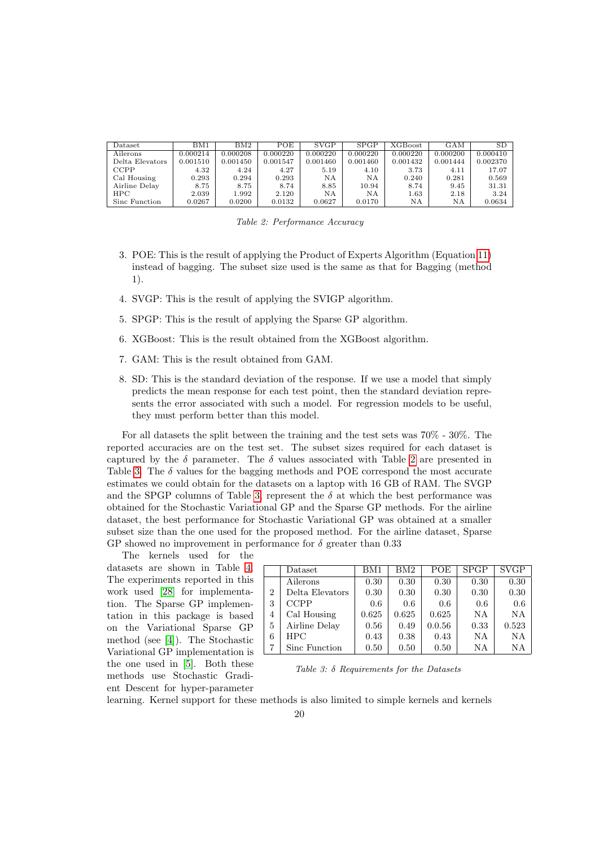<span id="page-19-0"></span>

| Dataset         | BM1      | $_{\rm BM2}$ | <b>POE</b> | <b>SVGP</b> | <b>SPGP</b> | <b>XGBoost</b> | GAM      | SD       |
|-----------------|----------|--------------|------------|-------------|-------------|----------------|----------|----------|
| Ailerons        | 0.000214 | 0.000208     | 0.000220   | 0.000220    | 0.000220    | 0.000220       | 0.000200 | 0.000410 |
| Delta Elevators | 0.001510 | 0.001450     | 0.001547   | 0.001460    | 0.001460    | 0.001432       | 0.001444 | 0.002370 |
| <b>CCPP</b>     | 4.32     | 4.24         | 4.27       | 5.19        | 4.10        | 3.73           | 4.11     | 17.07    |
| Cal Housing     | 0.293    | 0.294        | 0.293      | ΝA          | ΝA          | 0.240          | 0.281    | 0.569    |
| Airline Delay   | 8.75     | 8.75         | 8.74       | 8.85        | 10.94       | 8.74           | 9.45     | 31.31    |
| <b>HPC</b>      | 2.039    | 1.992        | 2.120      | ΝA          | ΝA          | 1.63           | 2.18     | 3.24     |
| Sinc Function   | 0.0267   | 0.0200       | 0.0132     | 0.0627      | 0.0170      | NΑ             | NΑ       | 0.0634   |

- 3. POE: This is the result of applying the Product of Experts Algorithm (Equation [11\)](#page-5-1) instead of bagging. The subset size used is the same as that for Bagging (method 1).
- 4. SVGP: This is the result of applying the SVIGP algorithm.
- 5. SPGP: This is the result of applying the Sparse GP algorithm.
- 6. XGBoost: This is the result obtained from the XGBoost algorithm.
- 7. GAM: This is the result obtained from GAM.
- 8. SD: This is the standard deviation of the response. If we use a model that simply predicts the mean response for each test point, then the standard deviation represents the error associated with such a model. For regression models to be useful, they must perform better than this model.

For all datasets the split between the training and the test sets was 70% - 30%. The reported accuracies are on the test set. The subset sizes required for each dataset is captured by the  $\delta$  parameter. The  $\delta$  values associated with Table [2](#page-19-0) are presented in Table [3.](#page-19-1) The  $\delta$  values for the bagging methods and POE correspond the most accurate estimates we could obtain for the datasets on a laptop with 16 GB of RAM. The SVGP and the SPGP columns of Table [3,](#page-19-1) represent the  $\delta$  at which the best performance was obtained for the Stochastic Variational GP and the Sparse GP methods. For the airline dataset, the best performance for Stochastic Variational GP was obtained at a smaller subset size than the one used for the proposed method. For the airline dataset, Sparse GP showed no improvement in performance for  $\delta$  greater than 0.33

The kernels used for the datasets are shown in Table [4.](#page-20-1) The experiments reported in this work used [\[28\]](#page-22-24) for implementation. The Sparse GP implementation in this package is based on the Variational Sparse GP method (see [\[4\]](#page-22-0)). The Stochastic Variational GP implementation is the one used in [\[5\]](#page-22-1). Both these methods use Stochastic Gradient Descent for hyper-parameter

<span id="page-19-1"></span>

|                | Dataset         | BM1   | BM <sub>2</sub> | POE    | <b>SPGP</b> | <b>SVGP</b> |
|----------------|-----------------|-------|-----------------|--------|-------------|-------------|
|                | Ailerons        | 0.30  | 0.30            | 0.30   | 0.30        | 0.30        |
| $\overline{2}$ | Delta Elevators | 0.30  | 0.30            | 0.30   | 0.30        | 0.30        |
| 3              | <b>CCPP</b>     | 0.6   | 0.6             | 0.6    | 0.6         | 0.6         |
| $\overline{4}$ | Cal Housing     | 0.625 | 0.625           | 0.625  | ΝA          | NA          |
| 5              | Airline Delay   | 0.56  | 0.49            | 0.0.56 | 0.33        | 0.523       |
| 6              | <b>HPC</b>      | 0.43  | 0.38            | 0.43   | NΑ          | <b>NA</b>   |
|                | Sinc Function   | 0.50  | 0.50            | 0.50   | NΑ          | NΑ          |

Table 3: δ Requirements for the Datasets

learning. Kernel support for these methods is also limited to simple kernels and kernels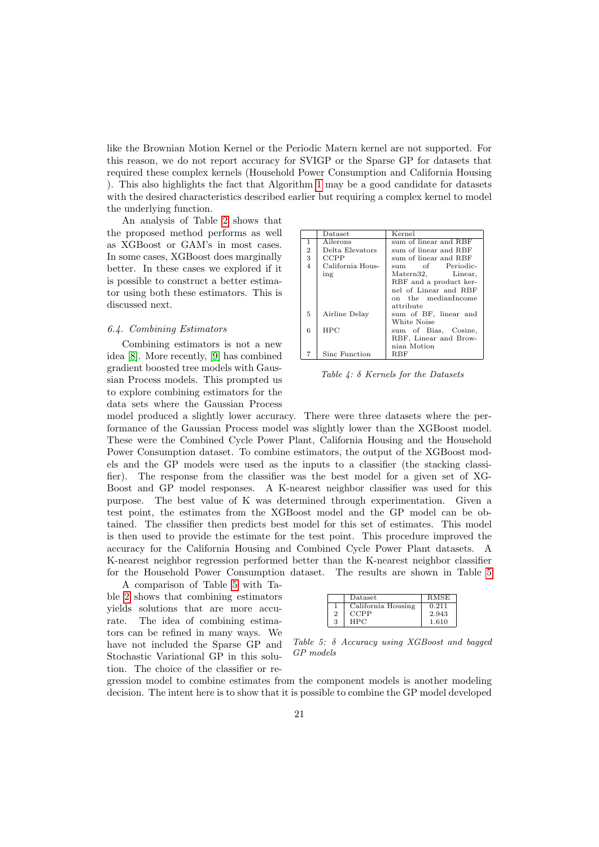like the Brownian Motion Kernel or the Periodic Matern kernel are not supported. For this reason, we do not report accuracy for SVIGP or the Sparse GP for datasets that required these complex kernels (Household Power Consumption and California Housing ). This also highlights the fact that Algorithm [1](#page-5-0) may be a good candidate for datasets with the desired characteristics described earlier but requiring a complex kernel to model the underlying function.

An analysis of Table [2](#page-19-0) shows that the proposed method performs as well as XGBoost or GAM's in most cases. In some cases, XGBoost does marginally better. In these cases we explored if it is possible to construct a better estimator using both these estimators. This is discussed next.

#### <span id="page-20-0"></span>6.4. Combining Estimators

Combining estimators is not a new idea [\[8\]](#page-22-4). More recently, [\[9\]](#page-22-5) has combined gradient boosted tree models with Gaussian Process models. This prompted us to explore combining estimators for the data sets where the Gaussian Process

<span id="page-20-1"></span>

|                | Dataset          | Kernel                 |
|----------------|------------------|------------------------|
| 1              | Ailerons         | sum of linear and RBF  |
| $\overline{2}$ | Delta Elevators  | sum of linear and RBF  |
| 3              | <b>CCPP</b>      | sum of linear and RBF  |
| $\overline{4}$ | California Hous- | sum of Periodic-       |
|                | ing              | Matern32, Linear,      |
|                |                  | RBF and a product ker- |
|                |                  | nel of Linear and RBF  |
|                |                  | on the medianIncome    |
|                |                  | attribute              |
| $\overline{5}$ | Airline Delay    | sum of BF, linear and  |
|                |                  | White Noise            |
| 6              | HPC              | sum of Bias, Cosine,   |
|                |                  | RBF, Linear and Brow-  |
|                |                  | nian Motion            |
|                | Sinc Function    | R.BF                   |

Table 4: δ Kernels for the Datasets

model produced a slightly lower accuracy. There were three datasets where the performance of the Gaussian Process model was slightly lower than the XGBoost model. These were the Combined Cycle Power Plant, California Housing and the Household Power Consumption dataset. To combine estimators, the output of the XGBoost models and the GP models were used as the inputs to a classifier (the stacking classifier). The response from the classifier was the best model for a given set of XG-Boost and GP model responses. A K-nearest neighbor classifier was used for this purpose. The best value of K was determined through experimentation. Given a test point, the estimates from the XGBoost model and the GP model can be obtained. The classifier then predicts best model for this set of estimates. This model is then used to provide the estimate for the test point. This procedure improved the accuracy for the California Housing and Combined Cycle Power Plant datasets. A K-nearest neighbor regression performed better than the K-nearest neighbor classifier for the Household Power Consumption dataset. The results are shown in Table [5](#page-20-2)

A comparison of Table [5](#page-20-2) with Table [2](#page-19-0) shows that combining estimators yields solutions that are more accurate. The idea of combining estimators can be refined in many ways. We have not included the Sparse GP and Stochastic Variational GP in this solution. The choice of the classifier or re-

<span id="page-20-2"></span>

|                | Dataset            | RMSE  |
|----------------|--------------------|-------|
|                | California Housing | 0.211 |
| $\overline{2}$ | <b>CCPP</b>        | 2.943 |
| 3              | HPC                | 1.610 |

Table 5: δ Accuracy using XGBoost and bagged GP models

gression model to combine estimates from the component models is another modeling decision. The intent here is to show that it is possible to combine the GP model developed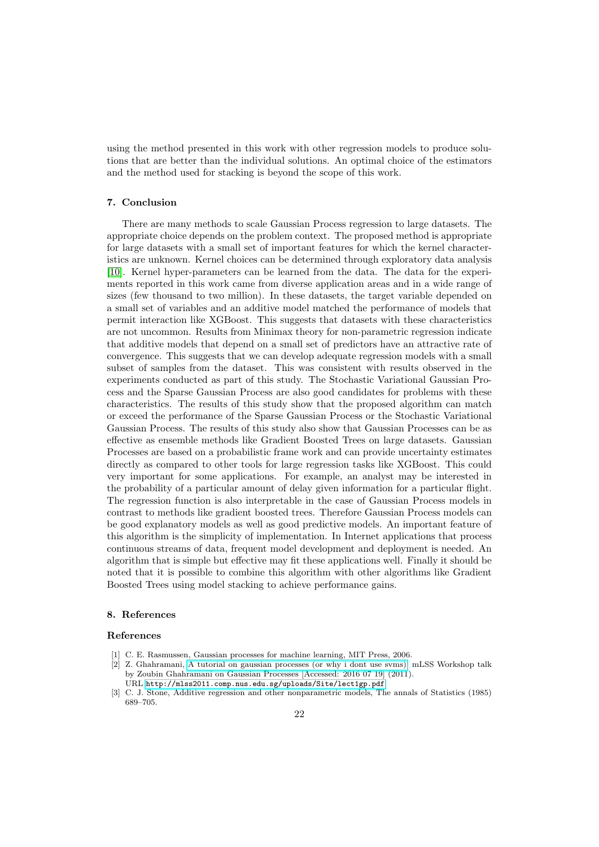using the method presented in this work with other regression models to produce solutions that are better than the individual solutions. An optimal choice of the estimators and the method used for stacking is beyond the scope of this work.

# <span id="page-21-3"></span>7. Conclusion

There are many methods to scale Gaussian Process regression to large datasets. The appropriate choice depends on the problem context. The proposed method is appropriate for large datasets with a small set of important features for which the kernel characteristics are unknown. Kernel choices can be determined through exploratory data analysis [\[10\]](#page-22-6). Kernel hyper-parameters can be learned from the data. The data for the experiments reported in this work came from diverse application areas and in a wide range of sizes (few thousand to two million). In these datasets, the target variable depended on a small set of variables and an additive model matched the performance of models that permit interaction like XGBoost. This suggests that datasets with these characteristics are not uncommon. Results from Minimax theory for non-parametric regression indicate that additive models that depend on a small set of predictors have an attractive rate of convergence. This suggests that we can develop adequate regression models with a small subset of samples from the dataset. This was consistent with results observed in the experiments conducted as part of this study. The Stochastic Variational Gaussian Process and the Sparse Gaussian Process are also good candidates for problems with these characteristics. The results of this study show that the proposed algorithm can match or exceed the performance of the Sparse Gaussian Process or the Stochastic Variational Gaussian Process. The results of this study also show that Gaussian Processes can be as effective as ensemble methods like Gradient Boosted Trees on large datasets. Gaussian Processes are based on a probabilistic frame work and can provide uncertainty estimates directly as compared to other tools for large regression tasks like XGBoost. This could very important for some applications. For example, an analyst may be interested in the probability of a particular amount of delay given information for a particular flight. The regression function is also interpretable in the case of Gaussian Process models in contrast to methods like gradient boosted trees. Therefore Gaussian Process models can be good explanatory models as well as good predictive models. An important feature of this algorithm is the simplicity of implementation. In Internet applications that process continuous streams of data, frequent model development and deployment is needed. An algorithm that is simple but effective may fit these applications well. Finally it should be noted that it is possible to combine this algorithm with other algorithms like Gradient Boosted Trees using model stacking to achieve performance gains.

#### 8. References

# References

- <span id="page-21-0"></span>[1] C. E. Rasmussen, Gaussian processes for machine learning, MIT Press, 2006.
- <span id="page-21-1"></span>[2] Z. Ghahramani, [A tutorial on gaussian processes \(or why i dont use svms\),](http://mlss2011.comp.nus.edu.sg/uploads/Site/lect1gp.pdf) mLSS Workshop talk by Zoubin Ghahramani on Gaussian Processes [Accessed: 2016 07 19] (2011). URL <http://mlss2011.comp.nus.edu.sg/uploads/Site/lect1gp.pdf>
- <span id="page-21-2"></span>[3] C. J. Stone, Additive regression and other nonparametric models, The annals of Statistics (1985) 689–705.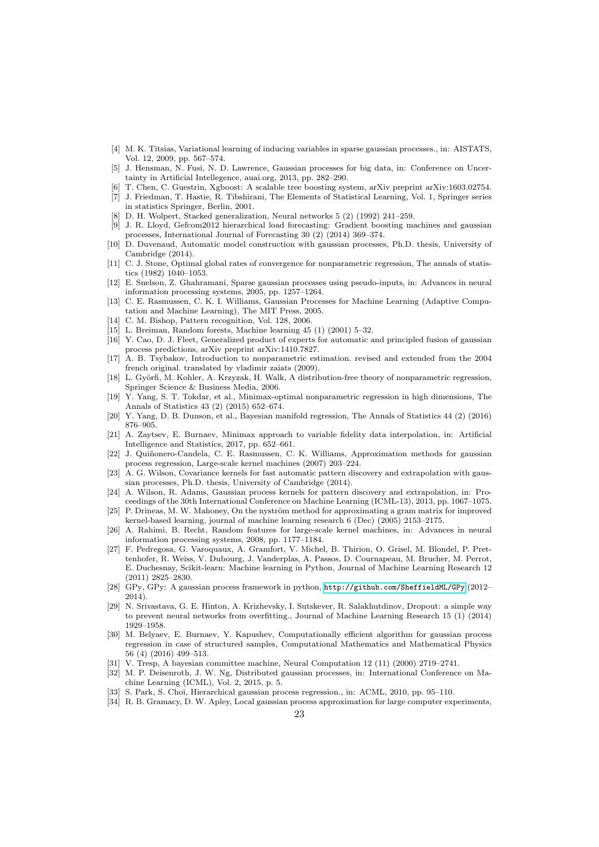- <span id="page-22-0"></span>[4] M. K. Titsias, Variational learning of inducing variables in sparse gaussian processes., in: AISTATS, Vol. 12, 2009, pp. 567–574.
- <span id="page-22-1"></span>[5] J. Hensman, N. Fusi, N. D. Lawrence, Gaussian processes for big data, in: Conference on Uncertainty in Artificial Intellegence, auai.org, 2013, pp. 282–290.
- <span id="page-22-2"></span>[6] T. Chen, C. Guestrin, Xgboost: A scalable tree boosting system, arXiv preprint arXiv:1603.02754.
- <span id="page-22-3"></span>[7] J. Friedman, T. Hastie, R. Tibshirani, The Elements of Statistical Learning, Vol. 1, Springer series in statistics Springer, Berlin, 2001.
- <span id="page-22-4"></span>[8] D. H. Wolpert, Stacked generalization, Neural networks 5 (2) (1992) 241–259.
- <span id="page-22-5"></span>[9] J. R. Lloyd, Gefcom2012 hierarchical load forecasting: Gradient boosting machines and gaussian processes, International Journal of Forecasting 30 (2) (2014) 369–374.
- <span id="page-22-6"></span>[10] D. Duvenaud, Automatic model construction with gaussian processes, Ph.D. thesis, University of Cambridge (2014).
- <span id="page-22-7"></span>[11] C. J. Stone, Optimal global rates of convergence for nonparametric regression, The annals of statistics (1982) 1040–1053.
- <span id="page-22-8"></span>[12] E. Snelson, Z. Ghahramani, Sparse gaussian processes using pseudo-inputs, in: Advances in neural information processing systems, 2005, pp. 1257–1264.
- <span id="page-22-9"></span>[13] C. E. Rasmussen, C. K. I. Williams, Gaussian Processes for Machine Learning (Adaptive Computation and Machine Learning), The MIT Press, 2005.
- <span id="page-22-10"></span>[14] C. M. Bishop, Pattern recognition, Vol. 128, 2006.
- <span id="page-22-11"></span>[15] L. Breiman, Random forests, Machine learning 45 (1) (2001) 5–32.
- <span id="page-22-12"></span>[16] Y. Cao, D. J. Fleet, Generalized product of experts for automatic and principled fusion of gaussian process predictions, arXiv preprint arXiv:1410.7827.
- <span id="page-22-13"></span>[17] A. B. Tsybakov, Introduction to nonparametric estimation. revised and extended from the 2004 french original. translated by vladimir zaiats (2009).
- <span id="page-22-14"></span>[18] L. Györfi, M. Kohler, A. Krzyzak, H. Walk, A distribution-free theory of nonparametric regression, Springer Science & Business Media, 2006.
- <span id="page-22-15"></span>[19] Y. Yang, S. T. Tokdar, et al., Minimax-optimal nonparametric regression in high dimensions, The Annals of Statistics 43 (2) (2015) 652–674.
- <span id="page-22-16"></span>[20] Y. Yang, D. B. Dunson, et al., Bayesian manifold regression, The Annals of Statistics 44 (2) (2016) 876–905.
- <span id="page-22-17"></span>[21] A. Zaytsev, E. Burnaev, Minimax approach to variable fidelity data interpolation, in: Artificial Intelligence and Statistics, 2017, pp. 652–661.
- <span id="page-22-18"></span>[22] J. Quiñonero-Candela, C. E. Rasmussen, C. K. Williams, Approximation methods for gaussian process regression, Large-scale kernel machines (2007) 203–224.
- <span id="page-22-19"></span>[23] A. G. Wilson, Covariance kernels for fast automatic pattern discovery and extrapolation with gaussian processes, Ph.D. thesis, University of Cambridge (2014).
- <span id="page-22-20"></span>[24] A. Wilson, R. Adams, Gaussian process kernels for pattern discovery and extrapolation, in: Proceedings of the 30th International Conference on Machine Learning (ICML-13), 2013, pp. 1067–1075.
- <span id="page-22-21"></span>[25] P. Drineas, M. W. Mahoney, On the nyström method for approximating a gram matrix for improved kernel-based learning, journal of machine learning research 6 (Dec) (2005) 2153–2175.
- <span id="page-22-22"></span>[26] A. Rahimi, B. Recht, Random features for large-scale kernel machines, in: Advances in neural information processing systems, 2008, pp. 1177–1184.
- <span id="page-22-23"></span>[27] F. Pedregosa, G. Varoquaux, A. Gramfort, V. Michel, B. Thirion, O. Grisel, M. Blondel, P. Prettenhofer, R. Weiss, V. Dubourg, J. Vanderplas, A. Passos, D. Cournapeau, M. Brucher, M. Perrot, E. Duchesnay, Scikit-learn: Machine learning in Python, Journal of Machine Learning Research 12 (2011) 2825–2830.
- <span id="page-22-24"></span>[28] GPy, GPy: A gaussian process framework in python, <http://github.com/SheffieldML/GPy> (2012– 2014).
- <span id="page-22-25"></span>[29] N. Srivastava, G. E. Hinton, A. Krizhevsky, I. Sutskever, R. Salakhutdinov, Dropout: a simple way to prevent neural networks from overfitting., Journal of Machine Learning Research 15 (1) (2014) 1929–1958.
- <span id="page-22-26"></span>[30] M. Belyaev, E. Burnaev, Y. Kapushev, Computationally efficient algorithm for gaussian process regression in case of structured samples, Computational Mathematics and Mathematical Physics 56 (4) (2016) 499–513.
- <span id="page-22-27"></span>[31] V. Tresp, A bayesian committee machine, Neural Computation 12 (11) (2000) 2719–2741.
- <span id="page-22-28"></span>[32] M. P. Deisenroth, J. W. Ng, Distributed gaussian processes, in: International Conference on Machine Learning (ICML), Vol. 2, 2015, p. 5.
- <span id="page-22-29"></span>[33] S. Park, S. Choi, Hierarchical gaussian process regression., in: ACML, 2010, pp. 95–110.
- <span id="page-22-30"></span>[34] R. B. Gramacy, D. W. Apley, Local gaussian process approximation for large computer experiments,